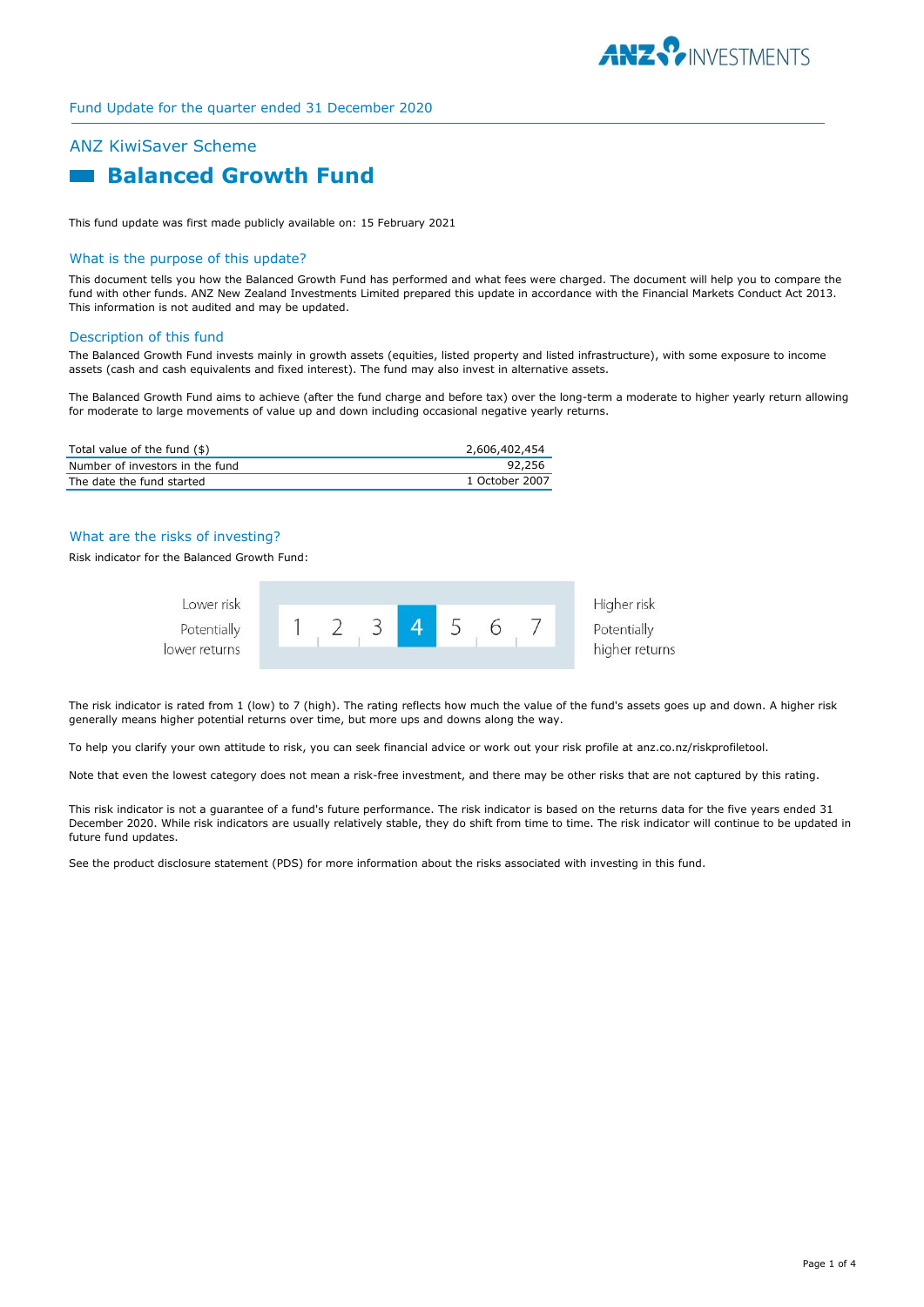

# ANZ KiwiSaver Scheme  **Balanced Growth Fund**

This fund update was first made publicly available on: 15 February 2021

#### What is the purpose of this update?

This document tells you how the Balanced Growth Fund has performed and what fees were charged. The document will help you to compare the fund with other funds. ANZ New Zealand Investments Limited prepared this update in accordance with the Financial Markets Conduct Act 2013. This information is not audited and may be updated.

#### Description of this fund

The Balanced Growth Fund invests mainly in growth assets (equities, listed property and listed infrastructure), with some exposure to income assets (cash and cash equivalents and fixed interest). The fund may also invest in alternative assets.

The Balanced Growth Fund aims to achieve (after the fund charge and before tax) over the long-term a moderate to higher yearly return allowing for moderate to large movements of value up and down including occasional negative yearly returns.

| Total value of the fund (\$)    | 2,606,402,454  |
|---------------------------------|----------------|
| Number of investors in the fund | 92,256         |
| The date the fund started       | 1 October 2007 |

# What are the risks of investing?

Risk indicator for the Balanced Growth Fund:



The risk indicator is rated from 1 (low) to 7 (high). The rating reflects how much the value of the fund's assets goes up and down. A higher risk generally means higher potential returns over time, but more ups and downs along the way.

To help you clarify your own attitude to risk, you can seek financial advice or work out your risk profile at anz.co.nz/riskprofiletool.

Note that even the lowest category does not mean a risk-free investment, and there may be other risks that are not captured by this rating.

This risk indicator is not a guarantee of a fund's future performance. The risk indicator is based on the returns data for the five years ended 31 December 2020. While risk indicators are usually relatively stable, they do shift from time to time. The risk indicator will continue to be updated in future fund updates.

See the product disclosure statement (PDS) for more information about the risks associated with investing in this fund.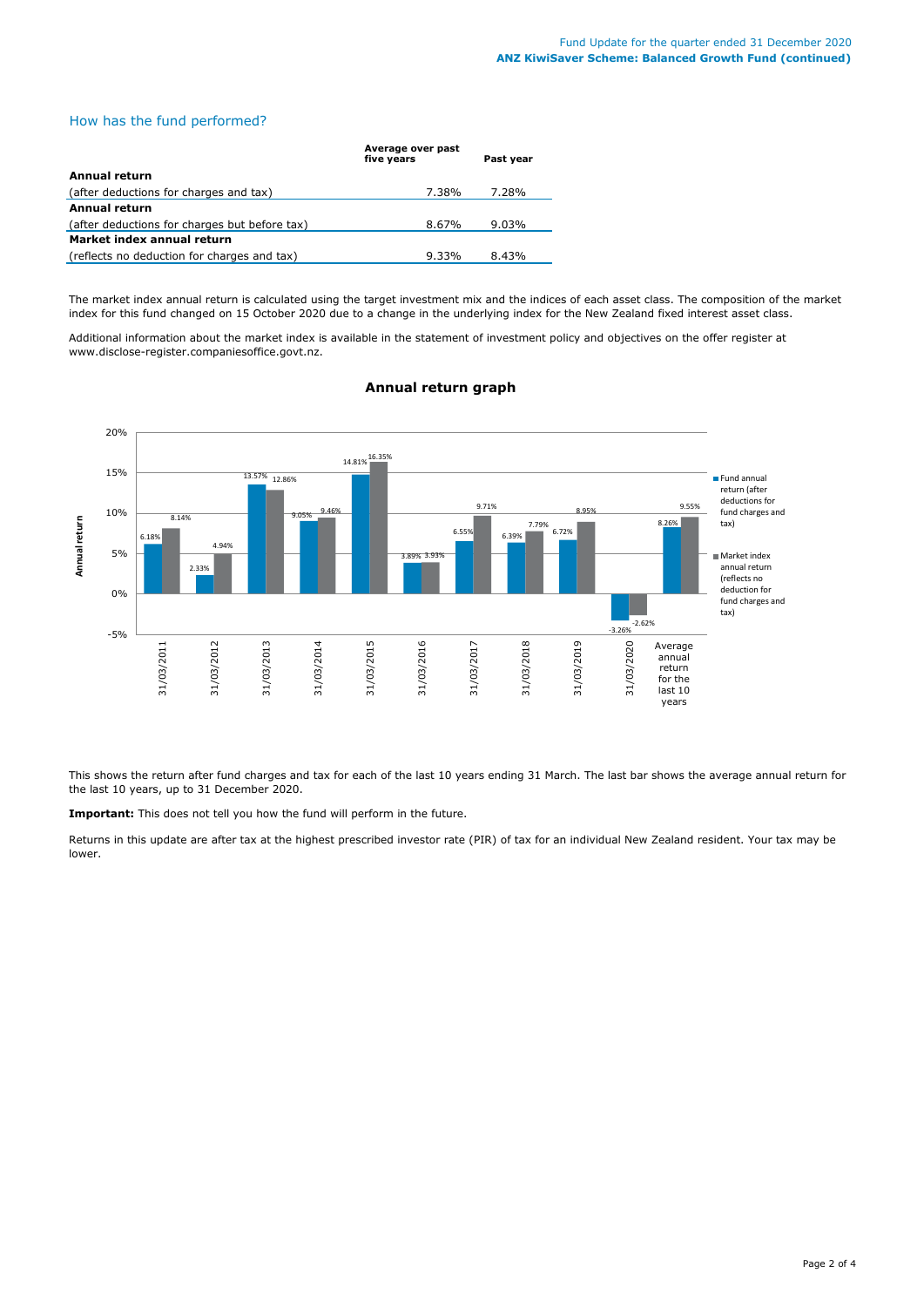## How has the fund performed?

|                                               | Average over past<br>five years | Past year |  |  |
|-----------------------------------------------|---------------------------------|-----------|--|--|
| Annual return                                 |                                 |           |  |  |
| (after deductions for charges and tax)        | 7.38%                           | 7.28%     |  |  |
| <b>Annual return</b>                          |                                 |           |  |  |
| (after deductions for charges but before tax) | 8.67%                           | $9.03\%$  |  |  |
| Market index annual return                    |                                 |           |  |  |
| (reflects no deduction for charges and tax)   | $9.33\%$                        | 8.43%     |  |  |

The market index annual return is calculated using the target investment mix and the indices of each asset class. The composition of the market index for this fund changed on 15 October 2020 due to a change in the underlying index for the New Zealand fixed interest asset class.

Additional information about the market index is available in the statement of investment policy and objectives on the offer register at www.disclose-register.companiesoffice.govt.nz.



# **Annual return graph**

This shows the return after fund charges and tax for each of the last 10 years ending 31 March. The last bar shows the average annual return for the last 10 years, up to 31 December 2020.

**Important:** This does not tell you how the fund will perform in the future.

Returns in this update are after tax at the highest prescribed investor rate (PIR) of tax for an individual New Zealand resident. Your tax may be lower.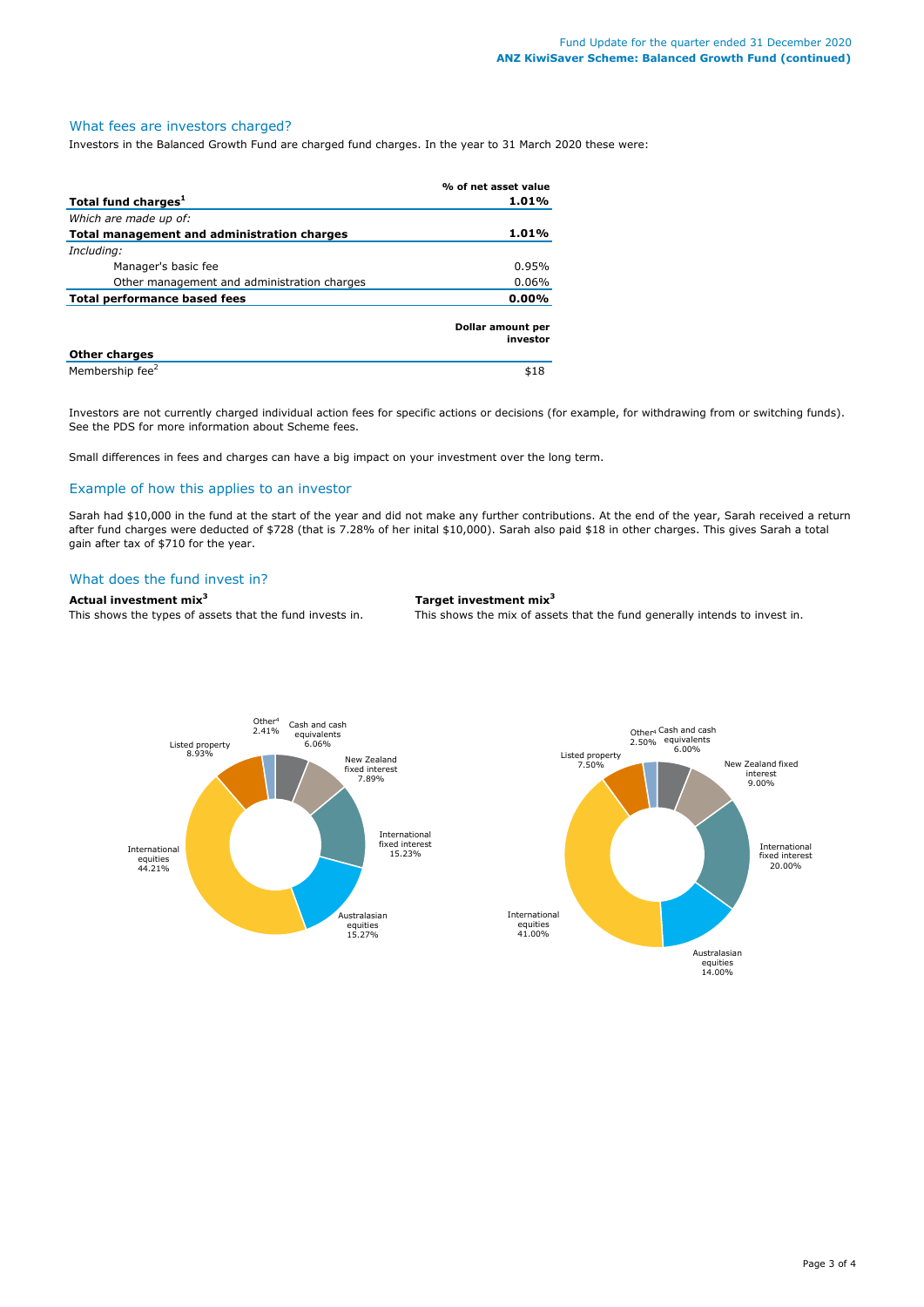#### What fees are investors charged?

Investors in the Balanced Growth Fund are charged fund charges. In the year to 31 March 2020 these were:

|                                             | % of net asset value          |
|---------------------------------------------|-------------------------------|
| Total fund charges <sup>1</sup>             | 1.01%                         |
| Which are made up of:                       |                               |
| Total management and administration charges | $1.01\%$                      |
| Including:                                  |                               |
| Manager's basic fee                         | 0.95%                         |
| Other management and administration charges | $0.06\%$                      |
| Total performance based fees                | $0.00\%$                      |
|                                             | Dollar amount per<br>investor |
| <b>Other charges</b>                        |                               |
| Membership fee <sup>2</sup>                 | \$18                          |

Investors are not currently charged individual action fees for specific actions or decisions (for example, for withdrawing from or switching funds). See the PDS for more information about Scheme fees.

Small differences in fees and charges can have a big impact on your investment over the long term.

### Example of how this applies to an investor

Sarah had \$10,000 in the fund at the start of the year and did not make any further contributions. At the end of the year, Sarah received a return after fund charges were deducted of \$728 (that is 7.28% of her inital \$10,000). Sarah also paid \$18 in other charges. This gives Sarah a total gain after tax of \$710 for the year.

### What does the fund invest in?

# **Actual investment mix<sup>3</sup> Target investment mix<sup>3</sup>**

This shows the types of assets that the fund invests in. This shows the mix of assets that the fund generally intends to invest in.